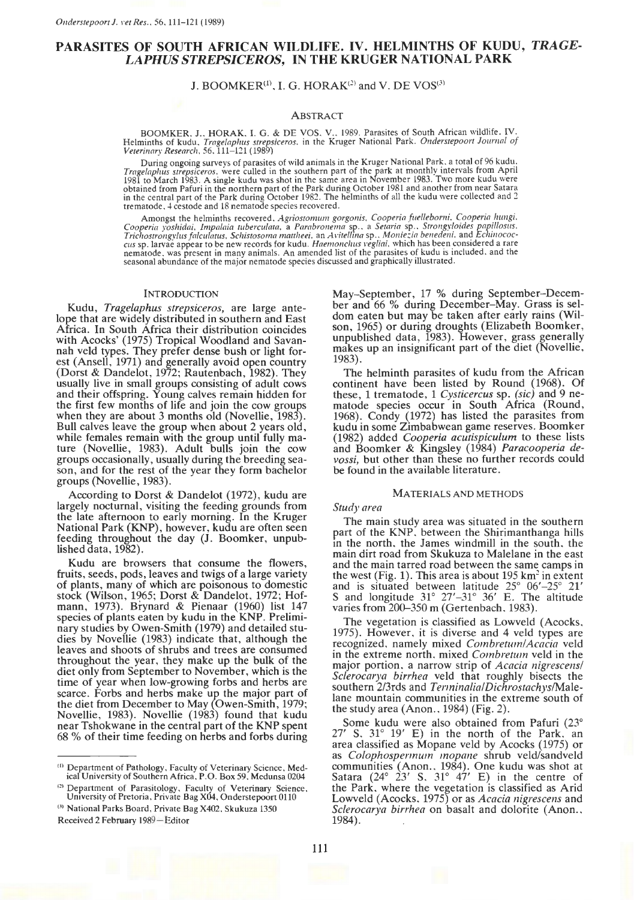# PARASITES OF SOUTH AFRICAN WILDLIFE. IV. HELMINTHS OF KUDU, *TRAGE-LAPHUS STREPSICEROS,* IN THE KRUGER NATIONAL PARK

J. BOOMKER<sup>(1)</sup>, I. G. HORAK<sup>(2)</sup> and V. DE VOS<sup>(3)</sup>

### ABSTRACT

BOOMKER. J.. HORAK. I. G. & DE VOS. V .. 1989. Parasites of South African wildlife. IV. Helminths of kudu, *Trage/aphus strepsiceros.* in the Kruger National Park. *011derstepoort Joumal of Veterinary Research.* 56. 111-121 (1989)

During ongoing surveys of parasites of wild animals in the Kruger National Park, a total of 96 kudu. *Tragelaplws strepsiceros.* were culled in the southern part of the park at monthly mtervals from Apnl 198I to March 1983. A single kudu was shot in the same area in November 1983. Two more kudu were<br>obtained from Pafuri in the northern part of the Park during October 1981 and another from near Satara<br>in the central part of trematode. 4 cestode and 18 nematode species recovered.

Amongst the helminths recovered. *Agriosromum gorgonis. Cooperia fuellebomi. Cooperia lumgi.*  Cooperia yoshidai, Impalaia tuberculata, a Parabronema sp., a Setaria sp., Strongyloides papillosus,<br>Trichostrongylus falculatus, Schistosoma mattheei, an Avitellina sp., Moniezia benedeni, and Echinococcus sp.<br>are appear

# INTRODUCTION

Kudu, *Tragelaphus strepsiceros,* are large antelope that are widely distributed in southern and East Africa. In South Africa their distribution coincides with Acocks' (1975) Tropical Woodland and Savannah veld types. They prefer dense bush or light forest (Ansell, 1971) and generally avoid open country (Dorst & Dandelot, 1972; Rautenbach, 1982). They usually live in small groups consisting of adult cows and their offspring. Young calves remain hidden for the first few months of life and join the cow groups when they are about 3 months old (Novellie, 1983). Bull calves leave the group when about 2 years old, while females remain with the group until fully mature (Novellie, 1983). Adult bulls join the cow groups occasionally, usually during the breeding season, and for the rest of the year they form bachelor groups (Novellie, 1983).

According to Dorst & Dandelot (1972), kudu are largely nocturnal, visiting the feeding grounds from the late afternoon to early morning. In the Kruger National Park (KNP), however, kudu are often seen feeding throughout the day (J. Boomker, unpublished data, 1982).

Kudu are browsers that consume the flowers, fruits, seeds, pods, leaves and twigs of a large variety of plants, many of which are poisonous to domestic stock (Wilson, 1965; Dorst & Dandelot, 1972; Hofmann, 1973). Brynard & Pienaar (1960) list 147 species of plants eaten by kudu in the KNP. Preliminary studies by Owen-Smith (1979) and detailed studies by Novellie (1983) indicate that, although the leaves and shoots of shrubs and trees are consumed throughout the year, they make up the bulk of the diet only from September to November, which is the time of year when low-growing forbs and herbs are scarce. Forbs and herbs make up the major part of the diet from December to May (Owen-Smith, 1979; Novellie, 1983). Novellie (1983) found that kudu near Tshokwane in the central part of the KNP spent 68 % of their time feeding on herbs and forbs during

m Department of Pathology, Faculty of Veterinary Science, Med-ical University of Southern Africa, P.O. Box 59. Mcdunsa 0204

<sup>(2)</sup> Department of Parasitology, Faculty of Veterinary Science, University of Pretoria, Private Bag X04, Onderstepoort 0110

May-September, 17 % during September-December and 66 % during December-May. Grass is seldom eaten but may be taken after early rains (Wilson, 1965) or during droughts (Elizabeth Boomker, unpublished data, 1983). However, grass generally makes up an insignificant part of the diet (Novellie, 1983).

The helminth parasites of kudu from the African continent have been listed by Round (1968). Of these, 1 trematode, 1 *Cysticercus* sp. *(sic)* and 9 nematode species occur in South Africa (Round, 1968). Condy (1972) has listed the parasites from kudu in some Zimbabwean game reserves. Boomker (1982) added *Cooperia acutispiculum* to these lists and Boomker & Kingsley (1984) *Paracooperia devossi,* but other than these no further records could be found in the available literature.

### MATERIALS AND METHODS

### *Study area*

The main study area was situated in the southern part of the KNP. between the Shirimanthanga hills in the north, the James windmill in the south, the main dirt road from Skukuza to Malelane in the east and the main tarred road between the same camps in the west (Fig. 1). This area is about 195 km<sup>2</sup> in extent and is situated between latitude 25° 06'-25° 21' S and longitude  $31^{\circ}$   $27' - 31^{\circ}$   $36'$  E. The altitude varies from 200-350 m (Gertenbach, 1983).

The vegetation is classified as Lowveld (Acocks. 1975). However, it is diverse and 4 veld types are recognized, namely mixed *Combretwn/Acacia* veld in the extreme north. mixed *Combretum* veld in the major portion. a narrow strip of *Acacia nigrescens/ Sclerocarya birrhea* veld that roughly bisects the southern 2/3rds and *Terminalia/Dichrostachys/Male*lane mountain communities in the extreme south of the study area  $($ Anon., 1984 $)$  (Fig. 2).

Some kudu were also obtained from Pafuri (23°  $27'$  S.  $31^\circ$   $19'$  E) in the north of the Park. an area classified as Mopane veld by Acocks (1975) or as *Colophospennum mopane* shrub veld/sandveld communities (Anon., 1984). One kudu was shot at Satara  $(24^{\circ} \t23' \tS, 31^{\circ} \t47' \tE)$  in the centre of the Park, where the vegetation is classified as Arid Lowveld (Acocks. 1975) or as *Acacia nigrescens* and *Sclerocarya birrhea* on basalt and dolorite (Anon...)<br>1984).

<sup>&</sup>lt;sup>(3)</sup> National Parks Board, Private Bag X402, Skukuza 1350 Received 2 February 1989-Editor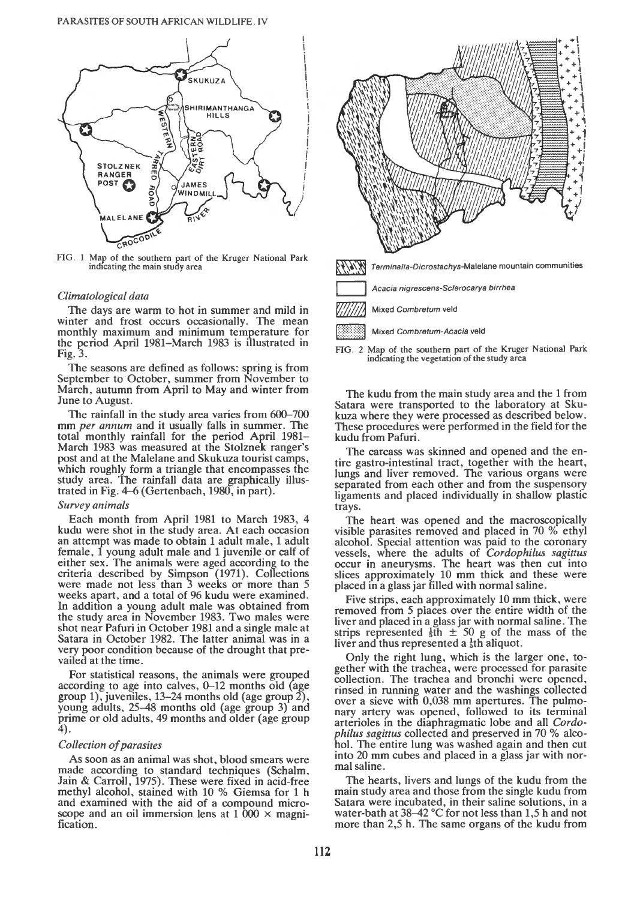

FIG. 1 Map of the southern part of the Kruger National Park indicating the main study area

# *Climatological data*

The days are warm to hot in summer and mild in winter and frost occurs occasionally. The mean monthly maximum and minimum temperature for the period April 1981-March 1983 is illustrated in Fig. 3.

The seasons are defined as follows: spring is from September to October, summer from November to March, autumn from April to May and winter from June to August.

The rainfall in the study area varies from 600–700 mm *per annum* and it usually falls in summer. The total monthly rainfall for the period April 1981-March 1983 was measured at the Stolznek ranger's post and at the Malelane and Skukuza tourist camps, which roughly form a triangle that encompasses the study area. The rainfall data are graphically illustrated in Fig. 4-6 (Gertenbach, 1980, in part).

# *Survey animals*

Each month from April 1981 to March 1983, 4 kudu were shot in the study area. At each occasion an attempt was made to obtain 1 adult male, 1 adult female. 1 young adult male and 1 juvenile or calf of either sex. The animals were aged according to the criteria described by Simpson (1971). Collections were made not less than 3 weeks or more than 5 weeks apart, and a total of 96 kudu were examined. In addition a young adult male was obtained from the study area in November 1983. Two males were shot near Pafuri in October 1981 and a single male at Satara in October 1982. The latter animal was in a very poor condition because of the drought that prevailed at the time.

For statistical reasons, the animals were grouped according to age into calves, 0-12 months old (age group 1), juveniles, 13–24 months old (age group  $2$ ), young adults, 25-48 months old (age group 3) and prime or old adults, 49 months and older (age group 4).

### *Collection of parasites*

As soon as an animal was shot, blood smears were made according to standard techniques (Schalm, Jain & Carroll, 1975). These were fixed in acid-free methyl alcohol, stained with 10 % Giemsa for 1 h and examined with the aid of a compound microscope and an oil immersion lens at  $1\,000 \times \text{magni-}$ fication.



FIG. 2 Map of the southern part of the Kruger National Park indicating the vegetation of the study area

The kudu from the main study area and the 1 from Satara were transported to the laboratory at Sku-These procedures were performed in the field for the kudu from Pafuri.

The carcass was skinned and opened and the entire gastro-intestinal tract, together with the heart, lungs and liver removed. The various organs were separated from each other and from the suspensory ligaments and placed individually in shallow plastic trays.

The heart was opened and the macroscopically visible parasites removed and placed in 70 % ethyl alcohol. Special attention was paid to the coronary vessels, where the adults of *Cordophilus sagittus*  occur in aneurysms. The heart was then cut into slices approximately 10 mm thick and these were placed in a glass jar filled with normal saline.

Five strips, each approximately 10 mm thick, were removed from 5 places over the entire width of the liver and placed in a glass jar with normal saline. The strips represented  $\frac{1}{3}$ th  $\pm$  50 g of the mass of the liver and thus represented a  $\frac{1}{5}$ th aliquot.

Only the right lung, which is the larger one, together with the trachea, were processed for parasite collection. The trachea and bronchi were opened, rinsed in running water and the washings collected over a sieve with 0,038 mm apertures. The pulmonary artery was opened, followed to its terminal arterioles in the diaphragmatic lobe and all *Cordophilus sagittus* collected and preserved in 70 % alcohol. The entire lung was washed again and then cut into 20 mm cubes and placed in a glass jar with normal saline.

The hearts, livers and lungs of the kudu from the main study area and those from the single kudu from Satara were incubated, in their saline solutions, in a water-bath at  $38-42$  °C for not less than 1,5 h and not more than 2,5 h. The same organs of the kudu from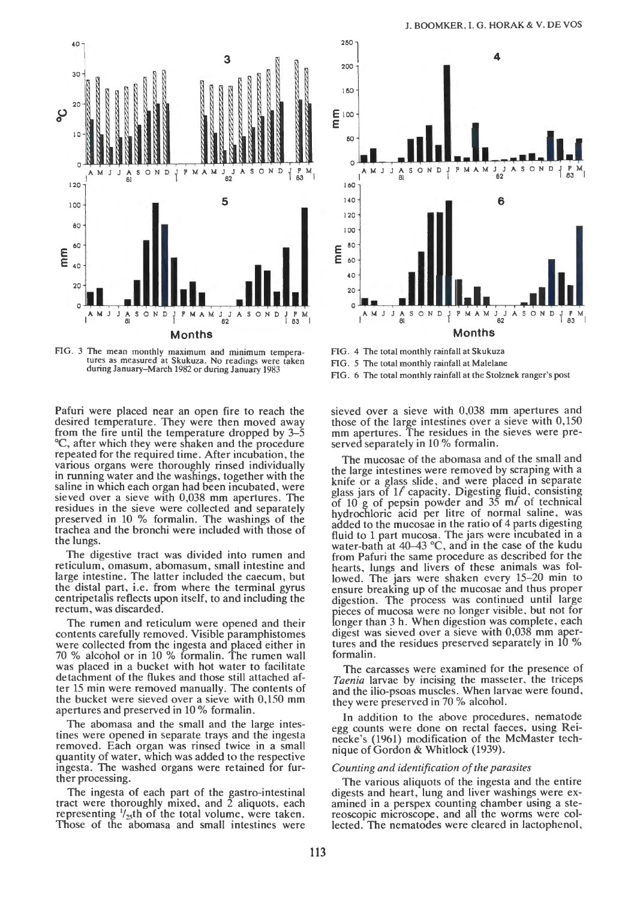

FIG. 3 The mean monthly maximum and minimum tempera-tures as measured at Skukuza. No readings were taken during January-March 1982 or during January 1983

**Months** 

Pafuri were placed near an open fire to reach the desired temperature. They were then moved away from the fire until the temperature dropped by 3-5 °C, after which they were shaken and the procedure repeated for the required time. After incubation, the various organs were thoroughly rinsed individually in running water and the washings, together with the saline in which each organ had been incubated, were sieved over a sieve with 0,038 mm apertures. The residues in the sieve were collected and separately preserved in 10 % formalin. The washings of the trachea and the bronchi were included with those of the lungs.

The digestive tract was divided into rumen and reticulum, omasum, abomasum, small intestine and large intestine. The latter included the caecum, but the distal part, i.e. from where the terminal gyrus centripetalis reflects upon itself, to and including the rectum, was discarded.

The rumen and reticulum were opened and their contents carefully removed. Visible paramphistomes were collected from the ingesta and placed either in 70 % alcohol or in 10 % formalin. The rumen wall was placed in a bucket with hot water to facilitate detachment of the flukes and those still attached after 15 min were removed manually. The contents of the bucket were sieved over a sieve with 0,150 mm apertures and preserved in 10% formalin.

The abomasa and the small and the large intestines were opened in separate trays and the ingesta removed. Each organ was rinsed twice in a small quantity of water, which was added to the respective ingesta. The washed organs were retained for further processing.

The ingesta of each part of the gastro-intestinal tract were thoroughly mixed, and  $\overline{2}$  aliquots, each representing  $\frac{1}{25}$ th of the total volume, were taken. Those of the abomasa and small intestines were



FIG. 4 The total monthly rainfall at Skukuza FIG. *5* The total monthly rainfall at Malelane FIG. 6 The total monthly rainfall at the Stolznek ranger's post

sieved over a sieve with 0,038 mm apertures and those of the large intestines over a sieve with 0,150 mm apertures. The residues in the sieves were preserved separately in 10% formalin.

The mucosae of the abomasa and of the small and the large intestines were removed by scraping with a knife or a glass slide, and were placed in separate glass jars of  $1/$  capacity. Digesting fluid, consisting of 10 g of pepsin powder and  $35$  m/ of technical hydrochloric acid per litre of normal saline, was added to the mucosae in the ratio of 4 parts digesting fluid to 1 part mucosa. The jars were incubated in a water-bath at 40-43 °C, and in the case of the kudu from Pafuri the same procedure as described for the hearts, lungs and livers of these animals was followed. The jars were shaken every 15–20 min to ensure breaking up of the mucosae and thus proper digestion. The process was continued until large pieces of mucosa were no longer visible, but not for longer than 3 h. When digestion was complete, each digest was sieved over a sieve with 0,038 mm apertures and the residues preserved separately in 10 % formalin.

The carcasses were examined for the presence of *Taenia* larvae by incising the masseter, the triceps and the ilio-psoas muscles. When larvae were found, they were preserved in 70 % alcohol.

In addition to the above procedures, nematode egg counts were done on rectal faeces, using Reinecke's (1961) modification of the McMaster technique of Gordon & Whitlock (1939).

### *Counting and identification of the parasites*

The various aliquots of the ingesta and the entire digests and heart, lung and liver washings were examined in a perspex counting chamber using a stereoscopic microscope, and all the worms were collected. The nematodes were cleared in lactophenol,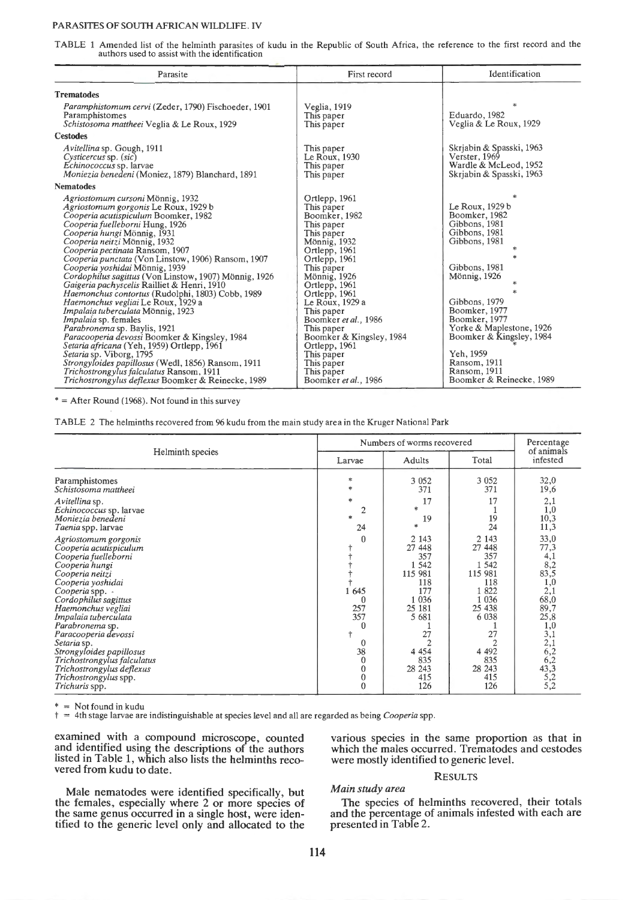# PARASITES OF SOUTH AFRICAN WILDLIFE. IV

TABLE 1 Amended list of the helminth parasites of kudu in the Republic of South Africa, the reference to the first record and the authors used to assist with the identification

| First record                                                                                                                                                                                                                                                                                                                                       | Identification                                                                                                                                                                                                                                                                          |
|----------------------------------------------------------------------------------------------------------------------------------------------------------------------------------------------------------------------------------------------------------------------------------------------------------------------------------------------------|-----------------------------------------------------------------------------------------------------------------------------------------------------------------------------------------------------------------------------------------------------------------------------------------|
|                                                                                                                                                                                                                                                                                                                                                    |                                                                                                                                                                                                                                                                                         |
| Veglia, 1919<br>This paper<br>This paper                                                                                                                                                                                                                                                                                                           | $*$<br>Eduardo, 1982<br>Veglia & Le Roux, 1929                                                                                                                                                                                                                                          |
|                                                                                                                                                                                                                                                                                                                                                    |                                                                                                                                                                                                                                                                                         |
| This paper<br>Le Roux, 1930<br>This paper<br>This paper                                                                                                                                                                                                                                                                                            | Skrjabin & Spasski, 1963<br>Verster, 1969<br>Wardle & McLeod, 1952<br>Skriabin & Spasski, 1963                                                                                                                                                                                          |
|                                                                                                                                                                                                                                                                                                                                                    |                                                                                                                                                                                                                                                                                         |
| Ortlepp, 1961<br>This paper<br>Boomker, 1982<br>This paper<br>This paper<br><b>Mönnig</b> , 1932<br>Ortlepp, 1961<br>Ortlepp, 1961<br>This paper<br>Mönnig, 1926<br>Ortlepp, 1961<br>Ortlepp, 1961<br>Le Roux, 1929 a<br>This paper<br>Boomker et al., 1986<br>This paper<br>Boomker & Kingsley, 1984<br>Ortlepp, 1961<br>This paper<br>This paper | Le Roux, 1929 b<br>Boomker, 1982<br>Gibbons, 1981<br>Gibbons, 1981<br>Gibbons, 1981<br>Gibbons, 1981<br>Mönnig, 1926<br>$\star$<br>Gibbons, 1979<br>Boomker, 1977<br>Boomker, 1977<br>Yorke & Maplestone, 1926<br>Boomker & Kingsley, 1984<br>Yeh, 1959<br>Ransom, 1911<br>Ransom, 1911 |
|                                                                                                                                                                                                                                                                                                                                                    | This paper<br>Boomker et al., 1986                                                                                                                                                                                                                                                      |

 $* =$  After Round (1968). Not found in this survey

TABLE 2 The helminths recovered from 96 kudu from the main study area in the Kruger National Park

|                                                                                                                                                                                                                                                                                                                                                                                                                        | Numbers of worms recovered                                                                                                 | Percentage                                                                                                                                  |                                                                                                                                               |                                                                                                                                                         |
|------------------------------------------------------------------------------------------------------------------------------------------------------------------------------------------------------------------------------------------------------------------------------------------------------------------------------------------------------------------------------------------------------------------------|----------------------------------------------------------------------------------------------------------------------------|---------------------------------------------------------------------------------------------------------------------------------------------|-----------------------------------------------------------------------------------------------------------------------------------------------|---------------------------------------------------------------------------------------------------------------------------------------------------------|
| Helminth species                                                                                                                                                                                                                                                                                                                                                                                                       | Larvae                                                                                                                     | <b>Adults</b>                                                                                                                               | Total                                                                                                                                         | of animals<br>infested                                                                                                                                  |
| Paramphistomes<br>Schistosoma mattheei                                                                                                                                                                                                                                                                                                                                                                                 | $\ast$<br>$*$                                                                                                              | 3 0 5 2<br>371                                                                                                                              | 3 0 5 2<br>371                                                                                                                                | 32,0<br>19,6                                                                                                                                            |
| Avitellina sp.<br>Echinococcus sp. larvae<br>Moniezia benedeni<br>Taenia spp. larvae                                                                                                                                                                                                                                                                                                                                   | *<br>$\overline{2}$<br>家<br>24                                                                                             | 17<br>*<br>19<br>sk.                                                                                                                        | 17<br>19<br>24                                                                                                                                | 2,1<br>1,0<br>10,3<br>11,3                                                                                                                              |
| Agriostomum gorgonis<br>Cooperia acutispiculum<br>Cooperia fuelleborni<br>Cooperia hungi<br>Cooperia neitzi<br>Cooperia yoshidai<br>Cooperia spp. -<br>Cordophilus sagittus<br>Haemonchus vegliai<br>Impalaia tuberculata<br>Parabronema sp.<br>Paracooperia devossi<br>Setaria sp.<br>Strongyloides papillosus<br>Trichostrongylus falculatus<br>Trichostrongylus deflexus<br>Trichostrongylus spp.<br>Trichuris spp. | $\theta$<br>1 645<br>$\theta$<br>257<br>357<br>$\bf{0}$<br>0<br>38<br>$\bf{0}$<br>$\bf{0}$<br>$\boldsymbol{0}$<br>$\bf{0}$ | 2 1 4 3<br>27 448<br>357<br>1 5 4 2<br>115 981<br>118<br>177<br>1 0 3 6<br>25 18 1<br>5 681<br>27<br>4 4 5 4<br>835<br>28 243<br>415<br>126 | 2 1 4 3<br>27 448<br>357<br>1 5 4 2<br>115 981<br>118<br>1822<br>1 0 3 6<br>25 438<br>6 0 38<br>27<br>4 4 9 2<br>835<br>28 24 3<br>415<br>126 | 33,0<br>77,3<br>4,1<br>8,2<br>83,5<br>1,0<br>2,1<br>68,0<br>89,7<br>25,8<br>1,0<br>$\frac{3,1}{2,1}$<br>6,2<br>6,2<br>$43,3$<br>$5,2$<br>$5,2$<br>$5,2$ |

 $=$  Not found in kudu

t = 4th stage larvae are indistinguishable at species level and all are regarded as being *Cooperia* spp.

examined with a compound microscope, counted and identified using the descriptions of the authors listed in Table 1, which also lists the helminths recovered from kudu to date.

various species in the same proportion as that in which the males occurred. Trematodes and cestodes were mostly identified to generic level.

### RESULTS

*Main study area* 

Male nematodes were identified specifically, but the females, especially where 2 or more species of the same genus occurred in a single host, were identified to the generic level only and allocated to the

The species of helminths recovered, their totals and the percentage of animals infested with each are presented in Table 2.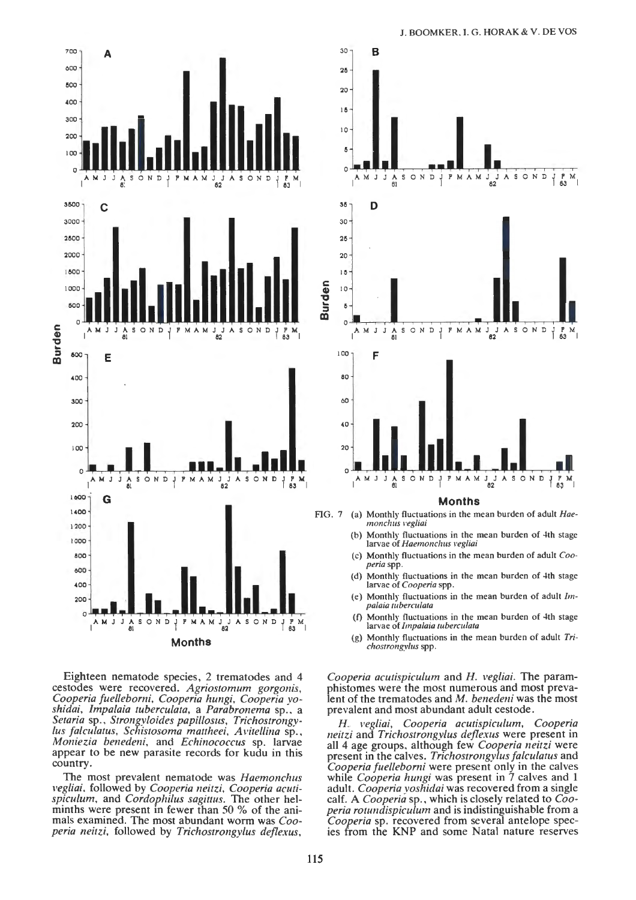

Eighteen nematode species, 2 trematodes and 4 cestodes were recovered. *Agriostomum gorgonis, Cooperia fue/leborni, Cooperia hungi, Cooperia yoshidai, Impalaia tuberculata,* a *Parabronema* sp., a *Setaria* sp., *Strongyloides papillosus, Trichostrongylus falculatus, Schistosoma mattheei, A vi tel/ina* sp., *Moniezia benedeni,* and *Echinococcus* sp. larvae appear to be new parasite records for kudu in this country.

The most prevalent nematode was *Haemonchus vegliai,* followed by *Cooperia neitzi, Cooperia acutispiculum,* and *Cordophilus sagittus.* The other helminths were present in fewer than 50 % of the animals examined. The most abundant wonn was *Cooperia neitzi.* followed by *Trichostrongylus deflexus,* 



- FIG. 7 (a) Monthly fluctuations in the mean burden of adult *Haemonchus 1•egliai* 
	- (b) Monthly fluctuations in the mean burden of 4th stage larvae of *Haemonchus vegliai*
	- (c) Monthly fluctuations in the mean burden of adult *Cooperiaspp.*
	- (d) Monthly fluctuations in the mean burden of 4th stage larvae of *Cooperia* spp.
	- Monthly fluctuations in the mean burden of adult *Impalaia wbercu/ata*
	- Monthly fluctuations in the mean burden of 4th stage larvae of *lmpalaia wberculata*
	- (g) Monthly fluctuations in the mean burden of adult *Trichostrongylus* spp.

*Cooperia acutispiculum* and *H. vegliai.* The paramphistomes were the most numerous and most prevalent of the trematodes and *M. benedeni* was the most prevalent and most abundant adult cestode .

*H. vegliai, Cooperia acutispiculum, Cooperia neitzi* and *Trichostrongylus deflexus* were present in all 4 age groups, although few *Cooperia neitzi* were present in the calves. *Trichostrongylus falculatus* and *Cooperia fue/leborni* were present only in the calves while *Cooperia hungi* was present in 7 calves and 1 adult. *Cooperia yoshidai* was recovered from a single calf. A *Cooperia* sp., which is closely related to *Cooperia rotzmdispiculum* and is indistinguishable from a *Cooperia* sp. recovered from several antelope species from the KNP and some Natal nature reserves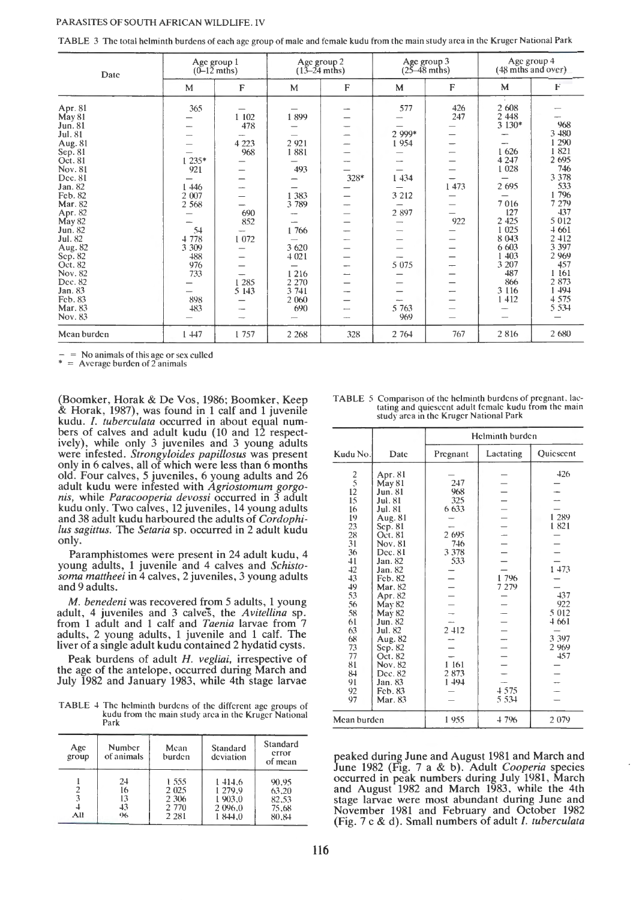| TABLE 3 The total helminth burdens of each age group of male and female kudu from the main study area in the Kruger National Park |  |
|-----------------------------------------------------------------------------------------------------------------------------------|--|
|-----------------------------------------------------------------------------------------------------------------------------------|--|

| Date                                                                                                                                                                                                                                                                          | Age group 1<br>$(0-12$ mths)                                                                                  |                                                                                    | Age group 2<br>$(13 - 24 \text{ mths})$                                                                                      |             | Age group 3<br>$(25-48 \text{ mths})$                                                  |                                  | Age group 4<br>(48 mths and over).                                                                                                                                                |                                                                                                                                                                                                  |
|-------------------------------------------------------------------------------------------------------------------------------------------------------------------------------------------------------------------------------------------------------------------------------|---------------------------------------------------------------------------------------------------------------|------------------------------------------------------------------------------------|------------------------------------------------------------------------------------------------------------------------------|-------------|----------------------------------------------------------------------------------------|----------------------------------|-----------------------------------------------------------------------------------------------------------------------------------------------------------------------------------|--------------------------------------------------------------------------------------------------------------------------------------------------------------------------------------------------|
|                                                                                                                                                                                                                                                                               | M                                                                                                             | F                                                                                  | M                                                                                                                            | F           | M                                                                                      | F                                | M                                                                                                                                                                                 | F                                                                                                                                                                                                |
| Арг. 81<br>May 81<br>Jun. 81<br>Jul. 81<br>Aug. 81<br>Sep. 81<br>Oct. 81<br>Nov. 81<br>Dec. 81<br>Jan. 82<br>Feb. 82<br>Mar. 82<br>Apr. 82<br>May 82<br>Jun. 82<br>Jul. 82<br>Aug. 82<br>Sep. 82<br>Oct. 82<br>Nov. 82<br>Dec. 82<br>Jan. 83<br>Feb. 83<br>Mar. 83<br>Nov. 83 | 365<br>1 235*<br>921<br>1446<br>2 007<br>2 5 6 8<br>54<br>4 7 7 8<br>3 309<br>488<br>976<br>733<br>898<br>483 | 1 102<br>478<br>4 2 2 3<br>968<br>–<br>690<br>852<br>1 0 7 2<br>1 2 8 5<br>5 1 4 3 | 1899<br>2 9 2 1<br>1881<br>493<br>1 3 8 3<br>3789<br>1766<br>3 6 20<br>4 0 2 1<br>1216<br>2 2 7 0<br>3 741<br>2 0 6 0<br>690 | $328*$<br>- | 577<br>2 999*<br>1954<br>1 4 3 4<br>3 2 1 2<br>2 897<br>-<br>5 0 7 5<br>5 7 6 3<br>969 | 426<br>247<br>1 473<br>922<br>-- | 2 608<br>2 4 4 8<br>3 1 3 0 *<br>1626<br>4 2 4 7<br>1 0 28<br>2 6 9 5<br>7016<br>127<br>2 4 2 5<br>1 0 25<br>8 043<br>6 603<br>1 403<br>3 207<br>487<br>866<br>3 1 1 6<br>1 4 1 2 | 968<br>3 480<br>1 290<br>1821<br>2 695<br>746<br>3 3 7 8<br>533<br>1796<br>7 279<br>437<br>5 0 1 2<br>4 6 6 1<br>2 412<br>3 3 9 7<br>2 9 6 9<br>457<br>1 161<br>2 873<br>1 494<br>4 575<br>5 534 |
| Mean burden                                                                                                                                                                                                                                                                   | 147                                                                                                           | 1 757                                                                              | 2 2 6 8                                                                                                                      | 328         | 2 764                                                                                  | 767                              | 2816                                                                                                                                                                              | 2 680                                                                                                                                                                                            |

 $-$  = No animals of this age or sex culled<br>  $*$  = Average burden of 2 animals

(Boomker, Horak & De Vos, 1986; Boomker, Keep & Horak, 1987), was found in 1 calf and 1 juvenile kudu. *I. tuberculata* occurred in about equal numbers of calves and adult kudu (10 and 12 respectively), while only 3 juveniles and 3 young adults were infested. *Strongyloides papillosus* was present only in 6 calves, all of which were less than 6 months old. Four calves, 5 juveniles, 6 young adults and 26 adult kudu were infested with *Agriostomum gorgonis,* while *Paracooperia devossi* occurred in 3 adult kudu only. Two calves, 12 juveniles, 14 young adults and 38 adult kudu harboured the adults of *Cordophilus sagittus.* The *Setaria* sp. occurred in 2 adult kudu only.

Paramphistomes were present in 24 adult kudu, 4 young adults, 1 juvenile and 4 calves and *Schistosoma mattheei* in 4 calves, 2 juveniles, 3 young adults and 9 adults.

*M. benedeni* was recovered from 5 adults, 1 young adult, 4 juveniles and 3 calves, the *Avitellina* sp. from 1 adult and 1 calf and *Taenia* larvae from 7 adults, 2 young adults, 1 juvenile and 1 calf. The liver of a single adult kudu contained 2 hydatid cysts.

Peak burdens of adult H. *vegliai*, irrespective of the age of the antelope, occurred during March and July 1982 and January 1983, while 4th stage larvae

TABLE 4 The helminth burdens of the different age groups of kudu from the main study area in the Kruger National Park

| Age<br>group       | Number<br>of animals       | Mean<br>burden                                | Standard<br>deviation                              | Standard<br>сггог<br>of mean              |
|--------------------|----------------------------|-----------------------------------------------|----------------------------------------------------|-------------------------------------------|
| 2<br>3<br>4<br>All | 24<br>16<br>13<br>43<br>96 | 1.555<br>2 0 2 5<br>2 306<br>2 770<br>2 2 8 1 | 1414.6<br>1 279.9<br>1 903.0<br>2 096.0<br>1 844.0 | 90.95<br>63,20<br>82.53<br>75,68<br>80.84 |

|  | <b>TABLE 5 Comparison of the helminth burdens of pregnant, lac-</b> |
|--|---------------------------------------------------------------------|
|  | tating and quiescent adult female kudu from the main                |
|  | study area in the Kruger National Park                              |

|                                                                                                                                                          |                                                                                                                                                                                                                                                                   | Helminth burden                                                                                                    |                    |                                                                                            |
|----------------------------------------------------------------------------------------------------------------------------------------------------------|-------------------------------------------------------------------------------------------------------------------------------------------------------------------------------------------------------------------------------------------------------------------|--------------------------------------------------------------------------------------------------------------------|--------------------|--------------------------------------------------------------------------------------------|
| Kudu No.                                                                                                                                                 | Date                                                                                                                                                                                                                                                              | Pregnant                                                                                                           | Lactating          | Quiescent                                                                                  |
| $\frac{2}{5}$<br>$\frac{12}{15}$<br>16<br>19<br>23<br>28<br>31<br>36<br>41<br>42<br>43<br>49<br>53<br>56<br>58<br>61<br>63<br>68<br>73<br>77<br>81<br>84 | Apr. 81<br>May 81<br>Jun. 81<br>Jul. 81<br>Jul. 81<br>Aug. 81<br>Sep. 81<br>Oct. 81<br>Nov. 81<br>Dec. 81<br>Jan. 82<br>Jan. 82<br>Feb. 82<br>Mar. 82<br>Apr. 82<br>May 82<br>May 82<br>Jun. 82<br>Jul. 82<br>Aug. 82<br>Sep. 82<br>Oct. 82<br>Nov. 82<br>Dec. 82 | 247<br>968<br>325<br>6 633<br>2 695<br>746<br>3 3 7 8<br>533<br>$\overline{\phantom{0}}$<br>2 412<br>1 161<br>2873 | 1 796<br>7 279     | $-426$<br>1 289<br>1821<br>1 473<br>437<br>922<br>5 012<br>4661<br>3 3 9 7<br>2 969<br>457 |
| 91<br>92<br>97                                                                                                                                           | Jan. 83<br>Feb. 83<br>Mar. 83                                                                                                                                                                                                                                     | 1494                                                                                                               | 4 5 7 5<br>5 5 3 4 |                                                                                            |
| Mean burden                                                                                                                                              |                                                                                                                                                                                                                                                                   | 4796<br>1955<br>2079                                                                                               |                    |                                                                                            |

peaked during June and August 1981 and March and June 1982 (Fig. 7 a & b). Adult *Cooperia* species occurred in peak numbers during July 1981, March and August 1982 and March 1983, while the 4th stage larvae were most abundant during June and November 1981 and February and October 1982 (Fig. 7 c & d). Small numbers of adult /. *tuberculata*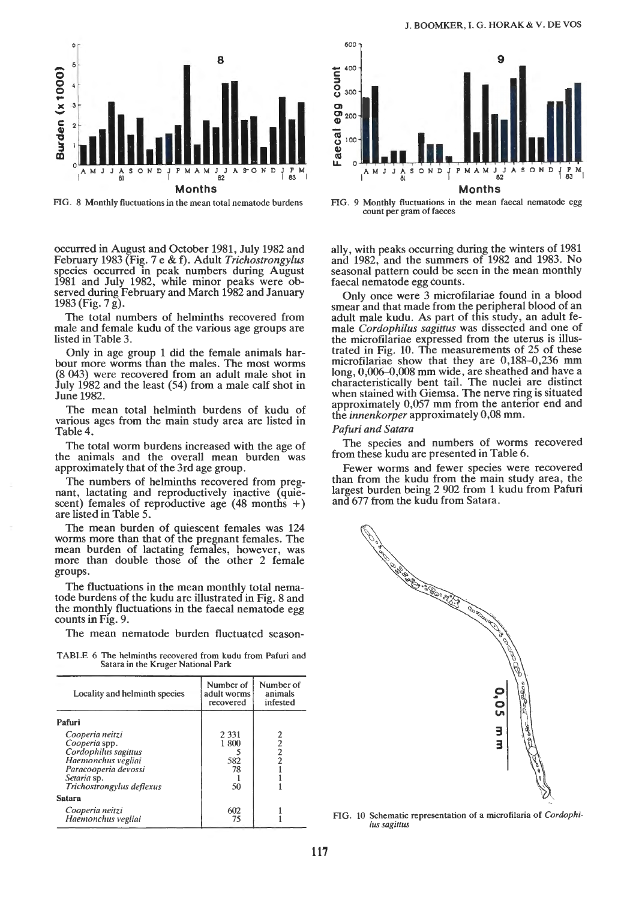

FIG. 8 Monthly fluctuations in the mean total nematode burdens

occurred in August and October 1981, July 1982 and February 1983 (Fig. 7 e & f). Adult *Trichostrongylus*  species occurred in peak numbers during August 1981 and July 1982, while minor peaks were observed during February and March 1982 and January 1983 (Fig. 7 g).

The total numbers of helminths recovered from male and female kudu of the various age groups are listed in Table 3.

Only in age group 1 did the female animals harbour more worms than the males. The most worms (8 043) were recovered from an adult male shot in July 1982 and the least (54) from a male calf shot in June 1982.

The mean total helminth burdens of kudu of various ages from the main study area are listed in Table4.

The total worm burdens increased with the age of the animals and the overall mean burden was approximately that of the 3rd age group.

The numbers of helminths recovered from pregnant, lactating and reproductively inactive (quiescent) females of reproductive age  $(48 \text{ months } +)$ are listed in Table 5.

The mean burden of quiescent females was 124 worms more than that of the pregnant females. The mean burden of lactating females, however, was more than double those of the other 2 female groups.

The fluctuations in the mean monthly total nematode burdens of the kudu are illustrated in Fig. 8 and the monthly fluctuations in the faecal nematode egg counts in Fig. 9.

The mean nematode burden fluctuated season-

TABLE 6 The helminths recovered from kudu from Pafuri and Satara in the Kruger National Park

| Locality and helminth species                                                                                                                      | Number of<br>adult worms<br>recovered | Number of<br>animals<br>infested |
|----------------------------------------------------------------------------------------------------------------------------------------------------|---------------------------------------|----------------------------------|
| Pafuri                                                                                                                                             |                                       |                                  |
| Cooperia neitzi<br>Cooperia spp.<br>Cordophilus sagittus<br>Haemonchus vegliai<br>Paracooperia devossi<br>Setaria sp.<br>Trichostrongylus deflexus | 2 3 3 1<br>1800<br>582<br>78<br>50    |                                  |
| <b>Satara</b>                                                                                                                                      |                                       |                                  |
| Cooperia neitzi<br>Haemonchus vegliai                                                                                                              | 602<br>75                             |                                  |



FIG. 9 Monthly fluctuations in the mean faecal nematode egg count per gram of faeces

ally, with peaks occurring during the winters of 1981 and 1982, and the summers of 1982 and 1983. No seasonal pattern could be seen in the mean monthly faecal nematode egg counts.

Only once were 3 microfilariae found in a blood smear and that made from the peripheral blood of an adult male kudu. As part of this study, an adult female *Cordophilus sagittus* was dissected and one of the microfilariae expressed from the uterus is illustrated in Fig. 10. The measurements of 25 of these microfilariae show that they are 0,188-0,236 mm long,  $0,006-0,008$  mm wide, are sheathed and have a characteristically bent tail. The nuclei are distinct when stained with Giemsa. The nerve ring is situated approximately 0,057 mm from the anterior end and the *innenkorper* approximately 0,08 mm.

### *Pafuri and Satara*

The species and numbers of worms recovered from these kudu are presented in Table 6.

Fewer worms and fewer species were recovered than from the kudu from the main study area, the largest burden being 2 902 from 1 kudu from Pafuri and 677 from the kudu from Satara.



FIG. 10 Schematic representation of a microfilaria of *Cordophilus sagittus*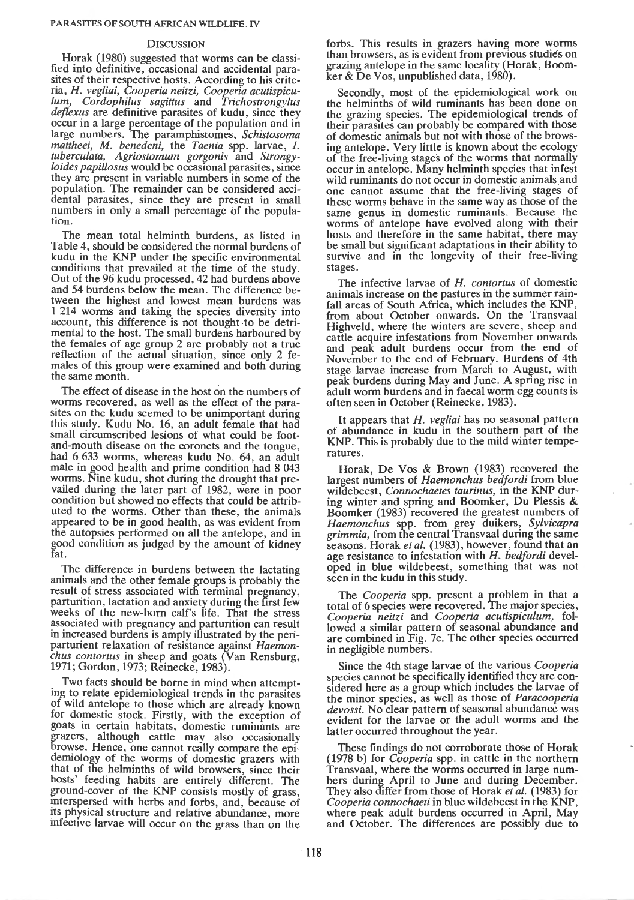### **DISCUSSION**

Horak (1980) suggested that worms can be classified into definitive, occasional and accidental parasites of their respective hosts. According to his criteria, *H. vegliai, Cooperia neitzi, Cooperia acutispiculum, Cordophilus sagittus* and *Trichostrongylus deflexus* are definitive parasites of kudu, since they occur in a large percentage of the population and in large numbers. The paramphistomes, *Schistosoma mattheei, M. benedeni,* the *Taenia* spp. larvae, I. *tuberculata, Agriostomum gorgonis* and *Strongyloides papillosus* would be occasional parasites, since they are present in variable numbers in some of the population. The remainder can be considered accidental parasites, since they are present in small numbers in only a small percentage of the population.

The mean total helminth burdens, as listed in Table 4, should be considered the normal burdens of kudu in the KNP under the specific environmental conditions that prevailed at the time of the study. Out of the 96 kudu processed, 42 had burdens above and 54 burdens below the mean. The difference between the highest and lowest mean burdens was 1 214 worms and taking the species diversity into account, this difference is not thought ·to be detrimental to the host. The small burdens harboured by the females of age group 2 are probably not a true reflection of the actual situation, since only 2 females of this group were examined and both during the same month.

The effect of disease in the host on the numbers of worms recovered, as well as the effect of the parasites on the kudu seemed to be unimportant during this study. Kudu No. 16, an adult female that had small circumscribed lesions of what could be footand-mouth disease on the coronets and the tongue, had 6 633 worms, whereas kudu No. 64, an adult male in good health and prime condition had 8 043 worms. Nine kudu, shot during the drought that prevailed during the later part of 1982, were in poor condition but showed no effects that could be attributed to the worms. Other than these, the animals appeared to be in good health, as was evident from the autopsies performed on all the antelope, and in good condition as judged by the amount of kidney fat.

The difference in burdens between the lactating animals and the other female groups is probably the result of stress associated with terminal pregnancy, parturition, lactation and anxiety during the first few weeks of the new-born calf's life. That the stress associated with pregnancy and parturition can result in increased burdens is amply illustrated by the periparturient relaxation of resistance against *Haemonchus contortus* in sheep and goats (Van Rensburg, 1971; Gordon, 1973; Reinecke, 1983).

Two facts should be borne in mind when attempting to relate epidemiological trends in the parasites of wild antelope to those which are already known for domestic stock. Firstly, with the exception of goats in certain habitats, domestic ruminants are grazers, although cattle may also occasionally browse. Hence, one cannot really compare the epidemiology of the worms of domestic grazers with that of the helminths of wild browsers, since their hosts' feeding habits are entirely different. The ground-cover of the KNP consists mostly of grass, interspersed with herbs and forbs, and, because of its physical structure and relative abundance, more infective larvae will occur on the grass than on the

forbs. This results in grazers having more worms than browsers, as is evident from previous studies on grazing antelope in the same locality (Horak, Boomker & De Vos, unpublished data,  $1980$ .

Secondly, most of the epidemiological work on the helminths of wild ruminants has been done on the grazing species. The epidemiological trends of their parasites can probably be compared with those of domestic animals but not with those of the browsing antelope. Very little is known about the ecology of the free-living stages of the worms that normally occur in antelope. Many helminth species that infest wild ruminants do not occur in domestic animals and one cannot assume that the free-living stages of these worms behave in the same way as those of the same genus in domestic ruminants. Because the worms of antelope have evolved along with their hosts and therefore in the same habitat, there may be small but significant adaptations in their ability to survive and in the longevity of their free-living stages.

The infective larvae of *H. contortus* of domestic animals increase on the pastures in the summer rainfall areas of South Africa, which includes the KNP, from about October onwards. On the Transvaal Highveld, where the winters are severe, sheep and cattle acquire infestations from November onwards and peak adult burdens occur from the end of November to the end of February. Burdens of 4th stage larvae increase from March to August, with peak burdens during May and June. A spring rise in adult worm burdens and in faecal worm egg counts is often seen in October (Reinecke, 1983).

It appears that *H. vegliai* has no seasonal pattern of abundance in kudu in the southern· part of the KNP. This is probably due to the mild winter temperatures.

Horak, De Vos & Brown (1983) recovered the largest numbers of *Haemonchus bedfordi* from blue wildebeest, *Connochaetes taurinus,* in the KNP during winter and spring and Boomker, Du Plessis & Boomker (1983) recovered the greatest numbers of *Haemonchus* spp. from grey duikers, *Sylvicapra grimmia,* from the central Transvaal during the same seasons. Horak *et al.* (1983), however, found that an age resistance to infestation with *H. bedfordi* devel~ oped in blue wildebeest, something that was not seen in the kudu in this study.

The *Cooperia* spp. present a problem in that a total of 6 species were recovered. The major species, *Cooperia neitzi* and *Cooperia acutispiculum,* followed a similar pattern of seasonal abundance and are combined in Fig. 7c. The other species occurred in negligible numbers.

Since the 4th stage larvae of the various *Cooperia*  species cannot be specifically identified they are considered here as a group which includes the larvae of the minor species, as well as those of *Paracooperia devossi.* No clear pattern of seasonal abundance was evident for the larvae or the adult worms and the latter occurred throughout the year.

These findings do not corroborate those of Horak (1978 b) for *Cooperia* spp. in cattle in the northern Transvaal, where the worms occurred in large numbers during April to June and during December. They also differ from those of Horak *et al.* (1983) for *Cooperia connochaeti* in blue wildebeest in the KNP, where peak adult burdens occurred in April, May and October. The differences are possibly due to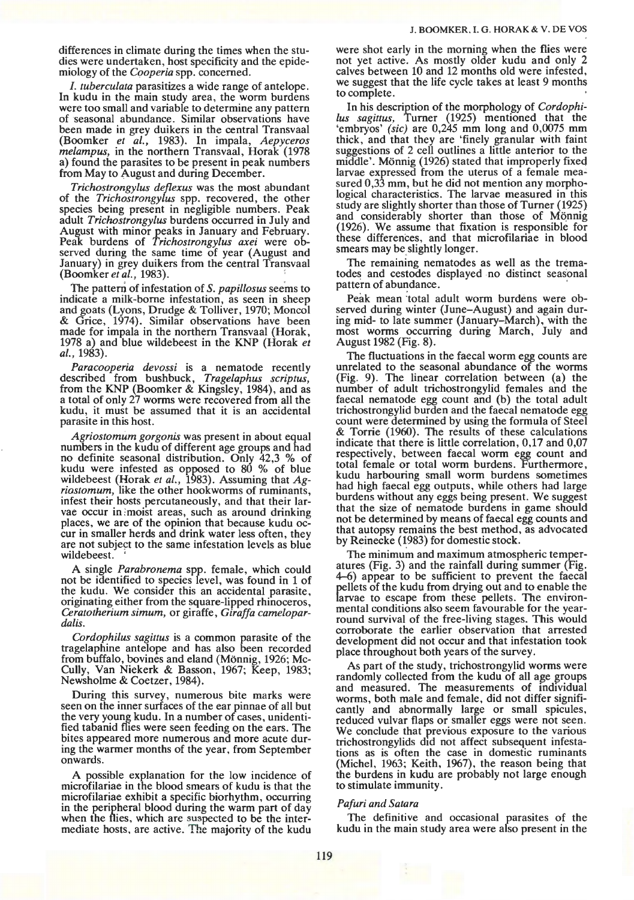differences in climate during the times when the studies were undertaken, host specificity and the epidemiology of the *Cooperia* spp. concerned.

I. *tuberculata* parasitizes a wide range of antelope. In kudu in the main study area, the worm burdens were too small and variable to determine any pattern of seasonal abundance. Similar observations have been made in grey duikers in the central Transvaal (Boomker *et al.,* 1983). In impala, *Aepyceros melampus,* in the northern Transvaal, Horak (1978 a) found the parasites to be present in peak numbers from May to August and during December.

*Trichostrongylus deflexus* was the most abundant of the *Trichostrongylus* spp. recovered, the other species being present in negligible numbers. Peak adult *Trichostrongylus* burdens occurred in July and August with minor peaks in January and February. Peak burdens of *Trichostrongylus axei* were observed during the same time of year (August and January) in grey duikers from the central Transvaal (Boomker *et al.,* 1983). ;

the pattern of infestation of s. *papillosus* seems to indicate a milk-borne infestation, as seen in sheep and goats (Lyons, Drudge & Tolliver, 1970; Moncol & Grice, 1974). Similar observations have been made for impala in the northern Transvaal (Horak, 1978 a) and blue wildebeest in the KNP (Horak *et al.,* 1983).

Paracooperia devossi is a nematode recently descnbed from bushbuck, *Tragelaphus scriptus,*  from the KNP (Boomker & Kingsley, 1984), and as a total of only 27 worms were recovered from all the kudu, it must be assumed that it is an accidental parasite in this host.

*Agriostomum gorgonis* was present in about equal numbers in the kudu of different age groups and had no definite seasonal distribution. Only 42,3 % of kudu were infested as opposed to  $80\%$  of blue wildebeest (Horak *et al.,* 1983). Assuming that *Agriostomum,* like the other hookworms of ruminants, infest their hosts percutaneously, and that their larvae occur in ;moist areas, such as around drinking places, we are of the opinion that because kudu occur in smaller herds and drink water less often, they are not subject to the same infestation levels as blue wildebeest.

A single *Parabronema* spp. female, which could not be identified to species level, was found in 1 of the kudu. We consider this an accidental parasite, originating either from the square-lipped rhinoceros, *Ceratotherium simum,* or giraffe, *Giraffa camelopardalis.* 

*Cordophilus sagittus* is a common parasite of the tragelaphine antelope and has also been recorded from buffalo, bovines and eland (Mönnig, 1926; Mc-Cully, Van Niekerk & Basson, 1967; Keep, 1983; Newsholme & Coetzer, 1984).

During this survey, numerous bite marks were seen on the inner surfaces of the ear pinnae of all but the very young kudu. In a number of cases, unidentified tabanid flies were seen feeding on the ears. The bites appeared more numerous and more acute during the warmer months of the year, from September onwards.

A possible explanation for the low incidence of microfilariae in the blood smears of kudu is that the microfilariae exhibit a specific biorhythm, occurring in the peripheral blood during the warm part of day when the flies, which are suspected to be the intermediate hosts, are active. The majority of the kudu

were shot early in the morning when the flies were not yet active. As mostly older kudu and only 2 calves between 10 and 12 months old were infested, we suggest that the life cycle takes at least 9 months to complete.

In his description of the morphology of *Cordophilus sagittus,* Turner (1925) mentioned that the 'embryos' *(sic)* are 0,245 mm long and 0,0075 mm thick, and that they are 'finely granular with faint suggestions of 2 cell outlines a little anterior to the middle'. Monnig (1926) stated that improperly fixed larvae expressed from the uterus of a female measured 0,33 mm, but he did not mention any morphological characteristics. The larvae measured in this study are slightly shorter than those of Turner ( 1925) and considerably shorter than those of Mönnig (1926). We assume that fixation is responsible for these differences, and that microfilariae in blood smears may be slightly longer.

The remaining nematodes as well as the trematodes and cestodes displayed no distinct seasonal pattern of abundance.

Peak mean total adult worm burdens were observed during winter (June-August) and again during mid- to late summer (January-March), with the most worms occurring during March, July and August 1982 (Fig. 8).

The fluctuations in the faecal worm egg counts are unrelated to the seasonal abundance of the worms (Fig. 9). The linear correlation between (a) the number of adult trichostrongylid females and the faecal nematode egg count and (b) the total adult trichostrongylid burden and the faecal nematode egg count were determined by using the formula of Steel & Torrie (1960). The results of these calculations indicate that there is little correlation, 0,17 and 0,07 respectively, between faecal worm egg count and total female or total worm burdens. Furthermore, kudu harbouring small worm burdens sometimes had high faecal egg outputs, while others had large burdens without any eggs being present. We suggest that the size of nematode burdens in game should not be determined by means of faecal egg counts and that autopsy remains the best method, as advocated by Reinecke (1983) for domestic stock.

The minimum and maximum atmospheric temperatures (Fig. 3) and the rainfall during summer (Fig. 4-6) appear to be sufficient to prevent the faecal pellets of the kudu from drying out and to enable the larvae to escape from these pellets. The environmental conditions also seem favourable for the yearround survival of the free-living stages. This would corroborate the earlier observation that arrested development did not occur and that infestation took place throughout both years of the survey.

As part of the study, trichostrongylid worms were randomly collected from the kudu of all age groups and measured. The measurements of individual worms, both male and female, did not differ significantly and abnormally large or small spicules, reduced vulvar flaps or smaller eggs were not seen. We conclude that previous exposure to the various trichostrongylids did not affect subsequent infestations as is often the case in domestic ruminants (Michel, 1963; Keith, 1967), the reason being that the burdens in kudu are probably not large enough to stimulate immunity.

# *Pafuri and Satara*

The definitive and occasional parasites of the kudu in the main study area were also present in the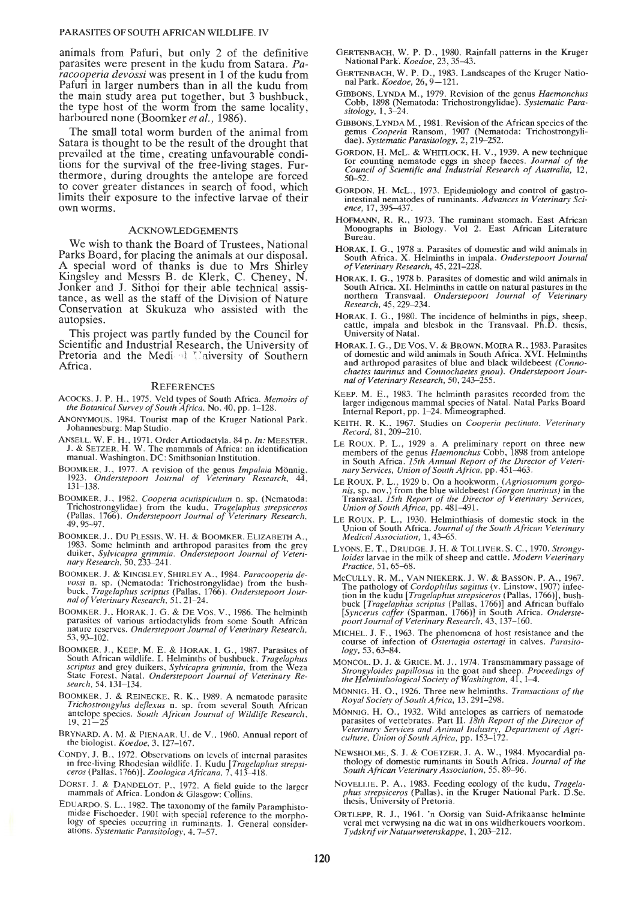### PARASITES OF SOUTH AFRICAN WILDLIFE. IV

animals from Pafuri, but only 2 of the definitive parasites were present in the kudu from Satara. Pa*racooperia devossi* was present in 1 of the kudu from Pafuri in larger numbers than in all the kudu from the main study area put together, but 3 bushbuck, the type host of the worm from the same locality, harboured none (Boomker *et al.,* 1986).

The small total worm burden of the animal from Satara is thought to be the result of the drought that prevailed at the time, creating unfavourable conditions for the survival of the free-living stages. Furthermore, during droughts the antelope are forced to cover greater distances in search of food, which limits their exposure to the infective larvae of their own worms.

### ACKNOWLEDGEMENTS

We wish to thank the Board of Trustees, National Parks Board, for placing the animals at our disposal. A special word of thanks is due to Mrs Shirley Kingsley and Messrs B. de Klerk, C. Cheney, N. Jonker and J. Sithoi for their able technical assistance, as well as the staff of the Division of Nature Conservation at Skukuza who assisted with the autopsies.

This project was partly funded by the Council for Scientific and Industrial Research, the University of Pretoria and the Medi <sup>4</sup> University of Southern Africa.

#### **REFERENCES**

- ACOCKS. J. P. H .. 1975. Veld types of South Africa. *Memoirs of the Botanical Survey of South Africa.* No. 40, pp. 1-128.
- ANONYMOUS. 1984. Tourist map of the Kruger National Park. Johannesburg: Map Studio.
- ANSELL. W. F. H., 1971. Order Artiodactyla. 84 p. *In:* MEESTER, J. & SETZER, H. W. The mammals of Africa: an identification manuaL Washington, DC: Smithsonian Institution.
- BOOMKER, J. , 1977. A revision of the genus *Impalaia* Monnig. 1923. *Onderstepoort Journal of Veterinary Research,* 44, 131-138.
- BOOMKER. J. , 1982. *Cooperia acutispiculum* n. sp. (Nematoda: Trichostrongylidae) from the kudu, *Tragelaphus strepsiceros*  (Pallas, 1766). *Onderstepoort Journal of Veterinary Research,*  49,95-97.
- BOOMKER. J. , DU PLESSIS, W. H. & BOOMKER. ELIZABETH A. , 1983. Some helminth and arthropod parasites from the grey duiker, *Sylvicapra grimmia. Onderstepoort Journal of Veteri-nary Research,* 50, 233-241.
- BOOMKER. J. & KINGSLEY. SHIRLEY A., 1984. *Paracooperia de-vossi* n. sp. (Nematoda: Trichostrongylidae) from the bush-buck, *Tragelaphus scriptus* (Pallas, 1766). *Onderstepoort Journal of Veterinary Research.* 51,21-24.
- BOOMKER. J., HORAK. I. G. & DEVos. V., 1986. The helminth parasites of various artiodactylids from some South African nature reserves. *Onderstepoort Journal of Veterinary Research,*  53,93-102.
- BOOMKER, J., KEEP, M. E. & HORAK, I. G., 1987. Parasites of South African wildlife. I. Helminths of bushbuck, *Tragelaphus scriptus* and grey duikers, *Sylvicapra grimmia,* from the Weza State Forest, Natal. *Onderstepoort Journal of Veterinary Research,* 54. 131-134.
- BOOMKER. J. & REINECKE, R. K. , 1989. A nematode parasite *Trichostrongylus dejlexus* n. sp. from several South African antelope species. *South African Journal of Wildlife Research ,* 19, 21-25
- BRYNARD. A. M. & P!ENAAR. U. de V. , 1960. Annual report of the biologist. *Koedoe,* 3. 127-167.
- CONDY. J. B., 1972. Observations on levels of internal parasites in free-living Rhodesian wildlife. I. Kudu *[Tragelaphus strepsi- ceros* (Pallas. 1766)]. *Zoologica Africana,* 7, 413-418.
- DORST. J. & DANDELOT. P., 1972. A field guide to the larger mammals of Africa. London & Glasgow: Collins.
- EDUARDO. S. L., 1982. The taxonomy of the family Paramphistomidae Fischoeder. 1901 with special reference to the morpho logy of species occurring in ruminants. I. General consideratiOns. *Systematic Parasitology.* 4. 7-57.
- GERTENBACH, W. P. D., 1980. Rainfall patterns in the Kruger National Park. *Koedoe,* 23, 35-43.
- GERTENBACH, W. P. D., 1983. Landscapes of the Kruger National Park. *Koedoe*, 26, 9–121.
- GIBBONS, LYNDA M., 1979. Revision of the genus *Haemonchus*  Cobb, 1898 (Nematoda: Trichostrongylidae). *Systematic Parasitology,* 1, 3-24.
- GIBBONS. LYNDA M. , 1981. Revision of the African species of the genus *Cooperia* Ransom, 1907 (Nematoda: Trichostrongyli-dae). *Systematic Parasitology,* 2, 219-252.
- GORDON, H. MeL. & WHITLOCK, H. V., 1939. A new technique for counting nematode eggs in sheep faeces. *Journal of the Council of Scientific and Industrial Research of Australia,* 12, 50-52.
- GORDON. H. MeL., 1973. Epidemiology and control of gastrointestinal nematodes of ruminants. *Advances in Veterinary Sci-ence,* 17,395-437.
- HOFMANN, R. R., 1973. The ruminant stomach. East African Monographs in Biology. Vol 2. East African Literature Bureau.
- HORAK, I. G., 1978 a. Parasites of domestic and wild animals in South Africa. X. Helminths in impala. *Onderstepoort Journal of Veterinary Research,* 45,221-228.
- HORAK, I. G., 1978 b. Parasites of domestic and wild animals in South Africa. XI. Helminths in cattle on natural pastures in the northern Transvaal. Onderstepoort Journal of Veterinary northern Transvaal. *Onderstepoort Journal of Veterinary Research,* 45, 229-234.
- HORAK, I. G., 1980. The incidence of helminths in pigs, sheep, cattle, impala and blesbok in the Transvaal. Ph.D. thesis, University of Natal.
- HORAK. I. G. , DEVOS, V. & BROWN, MOIRA R., 1983. Parasites of domestic and wild animals in South Africa. XVI. Helminths and arthropod parasites of blue and black wildebeest *(Connochaetes taurinus* and *Connochaetes gnou). Onderstepoort Jour-nal of Veterinary Research,* 50,243-255.
- KEEP. M. E., 1983. The helminth parasites recorded from the larger indigenous mammal species of Natal. Natal Parks Board Internal Report, pp. 1-24. Mimeographed.
- KEITH. R. K., 1967. Studies on *Cooperia pectinata. Veterinary Record,* 81,209-210.
- LE ROUX. P. L., 1929 a. A preliminary report on three new members of the genus *Haemonchus* Cobb, 1898 from antelope in South Africa. *15th Annual Report of the Director of Veterinary Services, Union of South Africa,* pp. 451-463.
- Le ROUX. P. L., 1929 b. On a hookworm, (Agriostomum gorgonis, sp. nov.) from the blue wildebeest (Gorgon taurinus) in the Transvaal. 15th Report of the Director of Veterinary Services, Union of South Africa, pp. 481-491.
- LE Roux. P. L., 1930. Helminthiasis of domestic stock in the Union of South Africa. *Journal of the South African Veterinary Medical Association,* l , 43-65.
- LYONS. E. T., DRUDGE. J. H. & TOLLIVER. S.C., 1970. *Strongyloides* larvae in the milk of sheep and cattle. *Modem Veterinary Practice,* 51, 65-68.
- McCULLY, R. M., VAN NIEKERK. J. W. & BASSON. P. A., 1967.<br>The pathology of *Cordophilus sagittus* (v. Linstow, 1907) infection in the kudu [*Tragelaphus strepsiceros* (Pallas, 1766)], bushbuck [*Tragelaphus criptus* (Palla
- MICHEL J. F., 1963. The phenomena of host resistance and the course of infection of *Ostertagia ostertagi* in calves. *Parasito-logy,* 53, 63-84.
- MONCOL. D. J. & GRICE. M. J., 1974. Transmammary passage of *Strongyloides papil/osus* in the goat and sheep. *Proceedings of the Helmimhological Society of Washington,* 41, 1-4.
- MONNIG. H. 0., 1926. Three new helminths. *Transactions of the Royal Society of South Africa,* 13.291-298.
- MONNIG. H. 0., 1932. Wild antelopes as carriers of nematode parasites of vertebrates. Part II. *18th Report of the Director of Veterinary Services and Animal Industry, Department of Agriculture, Union of South Africa,* pp. 153-172.
- NEWSHOLME, S. 1. & COETZER. 1. A. W. , 1984. Myocardial pathology of domestic ruminants in South Africa. *Journal of the South African Veterinary Association,* 55,89-96.
- NOVELLIE. P. A. , 1983. Feeding ecology of the kudu, *Tragela- phus strepsiceros* (Pallas), in the Kruger National Park. D.Sc. thesis, University of Pretoria.
- ORTLEPP. R. J., 1961. 'n Oorsig van Suid-Afrikaanse hclminte vera! met verwysing na die wat in ons wildherkouers voorkom. *Tvdskrif vir Natuurwetenskappe,* 1, 203-212.